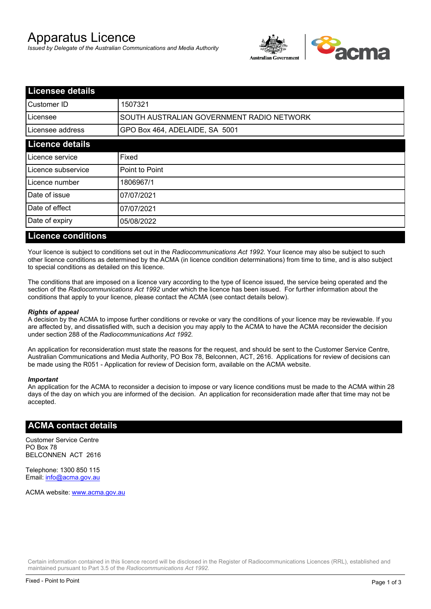# Apparatus Licence

*Issued by Delegate of the Australian Communications and Media Authority*



| <b>Licensee details</b> |                                           |  |
|-------------------------|-------------------------------------------|--|
| Customer ID             | 1507321                                   |  |
| ILicensee               | SOUTH AUSTRALIAN GOVERNMENT RADIO NETWORK |  |
| Licensee address        | GPO Box 464, ADELAIDE, SA 5001            |  |
| <b>Licence details</b>  |                                           |  |
| Licence service         | Fixed                                     |  |
| Licence subservice      | Point to Point                            |  |
| Licence number          | 1806967/1                                 |  |
| Date of issue           | 07/07/2021                                |  |
| Date of effect          | 07/07/2021                                |  |
| Date of expiry          | 05/08/2022                                |  |
|                         |                                           |  |

#### **Licence conditions**

Your licence is subject to conditions set out in the *Radiocommunications Act 1992*. Your licence may also be subject to such other licence conditions as determined by the ACMA (in licence condition determinations) from time to time, and is also subject to special conditions as detailed on this licence.

The conditions that are imposed on a licence vary according to the type of licence issued, the service being operated and the section of the *Radiocommunications Act 1992* under which the licence has been issued. For further information about the conditions that apply to your licence, please contact the ACMA (see contact details below).

#### *Rights of appeal*

A decision by the ACMA to impose further conditions or revoke or vary the conditions of your licence may be reviewable. If you are affected by, and dissatisfied with, such a decision you may apply to the ACMA to have the ACMA reconsider the decision under section 288 of the *Radiocommunications Act 1992*.

An application for reconsideration must state the reasons for the request, and should be sent to the Customer Service Centre, Australian Communications and Media Authority, PO Box 78, Belconnen, ACT, 2616. Applications for review of decisions can be made using the R051 - Application for review of Decision form, available on the ACMA website.

#### *Important*

An application for the ACMA to reconsider a decision to impose or vary licence conditions must be made to the ACMA within 28 days of the day on which you are informed of the decision. An application for reconsideration made after that time may not be accepted.

#### **ACMA contact details**

Customer Service Centre PO Box 78 BELCONNEN ACT 2616

Telephone: 1300 850 115 Email: info@acma.gov.au

ACMA website: www.acma.gov.au

Certain information contained in this licence record will be disclosed in the Register of Radiocommunications Licences (RRL), established and maintained pursuant to Part 3.5 of the *Radiocommunications Act 1992.*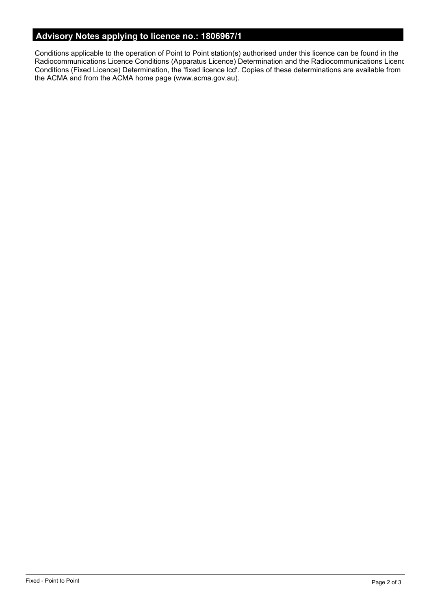# **Advisory Notes applying to licence no.: 1806967/1**

Conditions applicable to the operation of Point to Point station(s) authorised under this licence can be found in the Radiocommunications Licence Conditions (Apparatus Licence) Determination and the Radiocommunications Licence Conditions (Fixed Licence) Determination, the 'fixed licence lcd'. Copies of these determinations are available from the ACMA and from the ACMA home page (www.acma.gov.au).